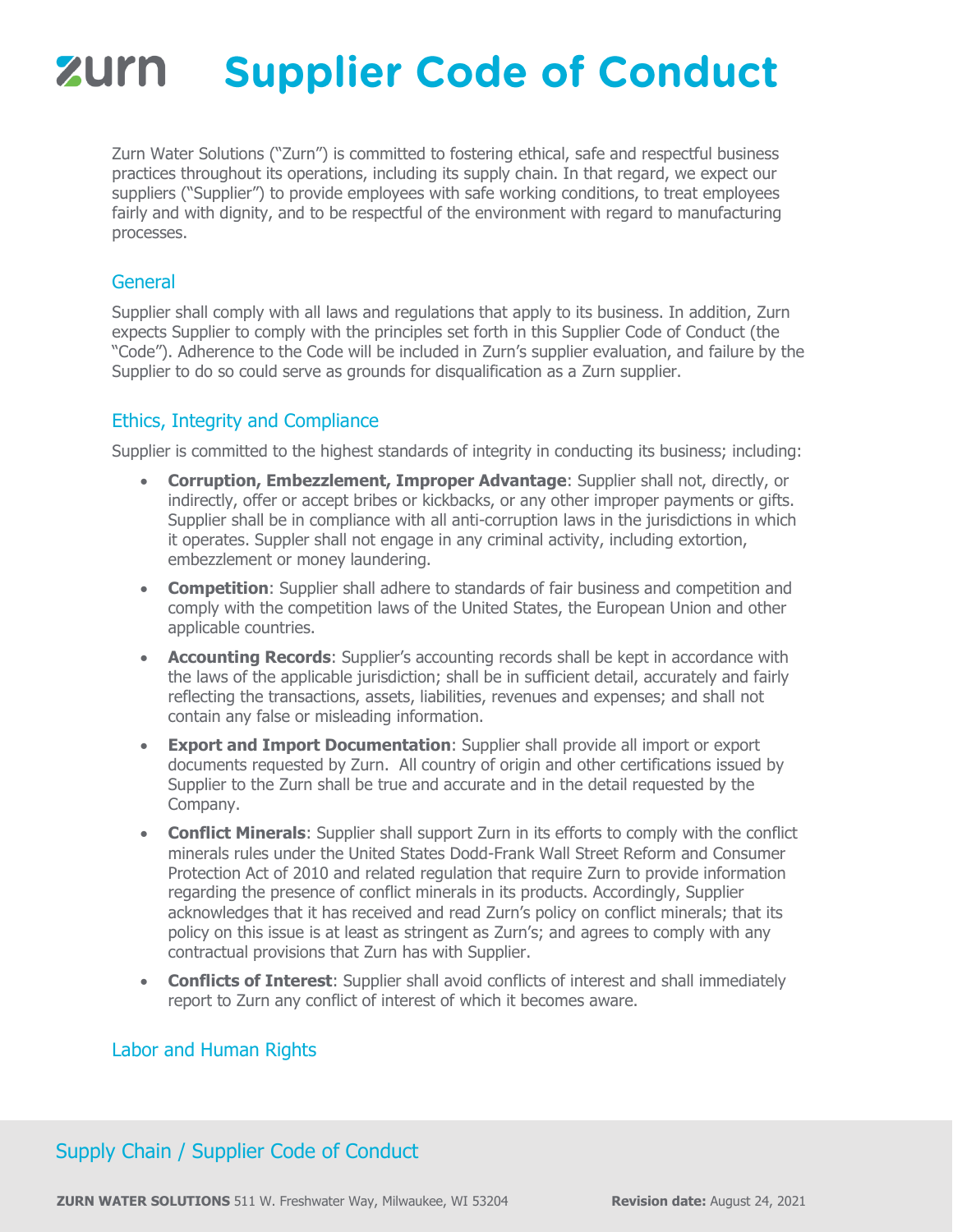# **Supplier Code of Conduct** zurn

Zurn Water Solutions ("Zurn") is committed to fostering ethical, safe and respectful business practices throughout its operations, including its supply chain. In that regard, we expect our suppliers ("Supplier") to provide employees with safe working conditions, to treat employees fairly and with dignity, and to be respectful of the environment with regard to manufacturing processes.

#### **General**

Supplier shall comply with all laws and regulations that apply to its business. In addition, Zurn expects Supplier to comply with the principles set forth in this Supplier Code of Conduct (the "Code"). Adherence to the Code will be included in Zurn's supplier evaluation, and failure by the Supplier to do so could serve as grounds for disqualification as a Zurn supplier.

#### Ethics, Integrity and Compliance

Supplier is committed to the highest standards of integrity in conducting its business; including:

- **Corruption, Embezzlement, Improper Advantage**: Supplier shall not, directly, or indirectly, offer or accept bribes or kickbacks, or any other improper payments or gifts. Supplier shall be in compliance with all anti-corruption laws in the jurisdictions in which it operates. Suppler shall not engage in any criminal activity, including extortion, embezzlement or money laundering.
- **Competition**: Supplier shall adhere to standards of fair business and competition and comply with the competition laws of the United States, the European Union and other applicable countries.
- **Accounting Records**: Supplier's accounting records shall be kept in accordance with the laws of the applicable jurisdiction; shall be in sufficient detail, accurately and fairly reflecting the transactions, assets, liabilities, revenues and expenses; and shall not contain any false or misleading information.
- **Export and Import Documentation**: Supplier shall provide all import or export documents requested by Zurn. All country of origin and other certifications issued by Supplier to the Zurn shall be true and accurate and in the detail requested by the Company.
- **Conflict Minerals**: Supplier shall support Zurn in its efforts to comply with the conflict minerals rules under the United States Dodd-Frank Wall Street Reform and Consumer Protection Act of 2010 and related regulation that require Zurn to provide information regarding the presence of conflict minerals in its products. Accordingly, Supplier acknowledges that it has received and read Zurn's policy on conflict minerals; that its policy on this issue is at least as stringent as Zurn's; and agrees to comply with any contractual provisions that Zurn has with Supplier.
- **Conflicts of Interest**: Supplier shall avoid conflicts of interest and shall immediately report to Zurn any conflict of interest of which it becomes aware.

### Labor and Human Rights

## Supply Chain / Supplier Code of Conduct